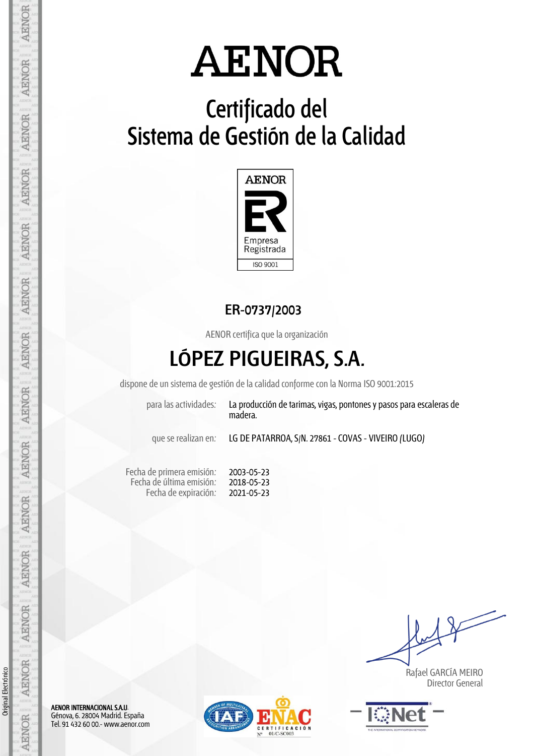## **Certificado del Sistema de Gestión de la Calidad**



**ER-0737/2003**

AENOR certifica que la organización

## **LÓPEZ PIGUEIRAS, S.A.**

dispone de un sistema de gestión de la calidad conforme con la Norma ISO 9001:2015

2003-05-23 2018-05-23 2021-05-23

| madera |  | para las actividades: | La producción de ta |  |
|--------|--|-----------------------|---------------------|--|
|--------|--|-----------------------|---------------------|--|

arimas, vigas, pontones y pasos para escaleras de madera.

que se realizan en: LG DE PATARROA, S/N. 27861 - COVAS - VIVEIRO (LUGO)

Fecha de primera emisión: Fecha de última emisión: Fecha de expiración:

 Rafael GARCÍA MEIRO Director General



AENOR INTERNACIONAL S.A.U. Génova, 6. 28004 Madrid. España Tel. 91 432 60 00.- www.aenor.com



**AENOR** 

AENOR

Original Electrónico

Original Electrónico